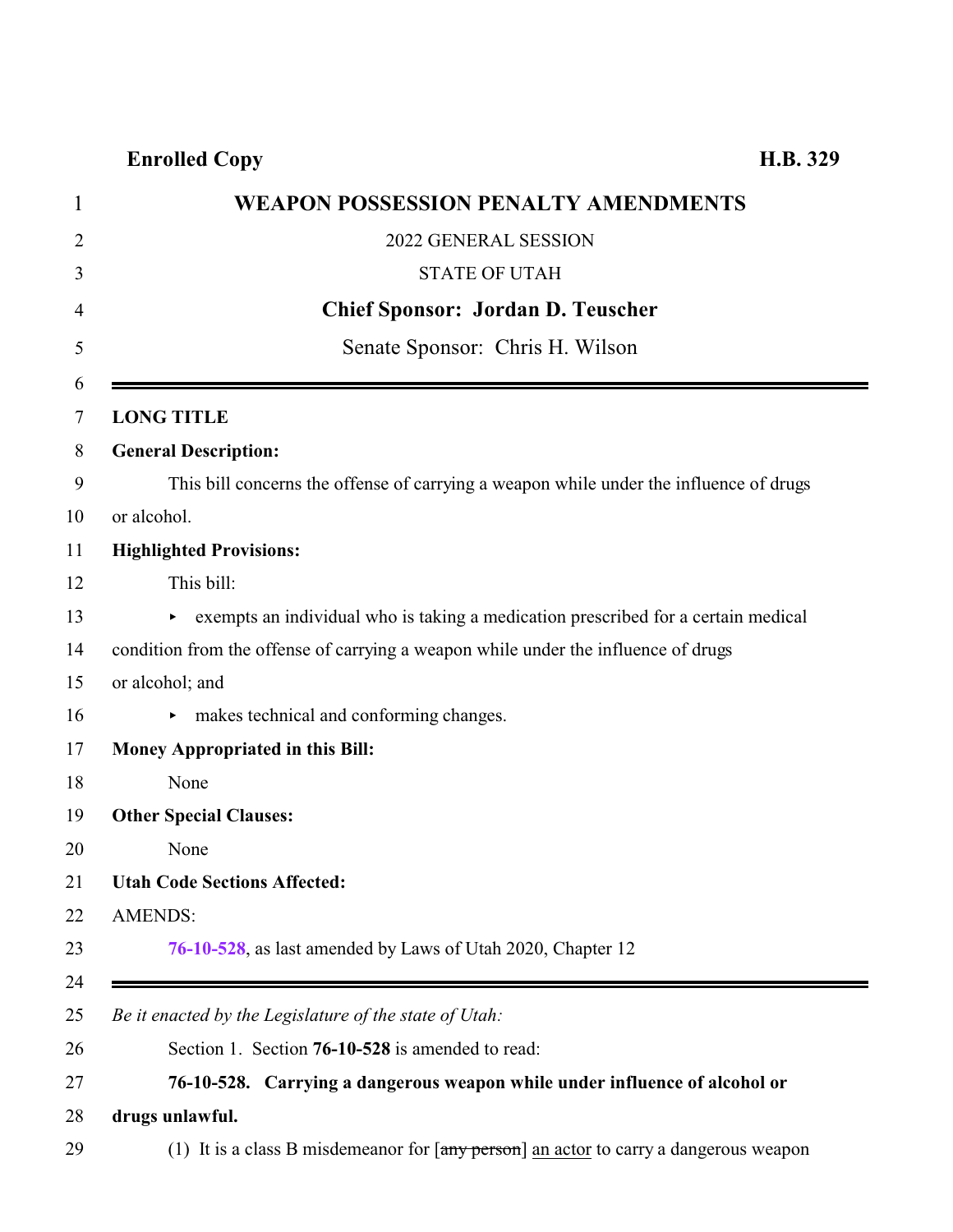**Enrolled Copy H.B. 329**

<span id="page-0-0"></span>

| 1              | WEAPON POSSESSION PENALTY AMENDMENTS                                                     |
|----------------|------------------------------------------------------------------------------------------|
| $\overline{2}$ | 2022 GENERAL SESSION                                                                     |
| 3              | <b>STATE OF UTAH</b>                                                                     |
| 4              | <b>Chief Sponsor: Jordan D. Teuscher</b>                                                 |
| 5              | Senate Sponsor: Chris H. Wilson                                                          |
| 6<br>7         | <b>LONG TITLE</b>                                                                        |
| 8              | <b>General Description:</b>                                                              |
| 9              | This bill concerns the offense of carrying a weapon while under the influence of drugs   |
| 10             | or alcohol.                                                                              |
| 11             | <b>Highlighted Provisions:</b>                                                           |
| 12             | This bill:                                                                               |
| 13             | Exempts an individual who is taking a medication prescribed for a certain medical        |
| 14             | condition from the offense of carrying a weapon while under the influence of drugs       |
| 15             | or alcohol; and                                                                          |
| 16             | makes technical and conforming changes.                                                  |
| 17             | Money Appropriated in this Bill:                                                         |
| 18             | None                                                                                     |
| 19             | <b>Other Special Clauses:</b>                                                            |
| 20             | None                                                                                     |
| 21             | <b>Utah Code Sections Affected:</b>                                                      |
| 22             | <b>AMENDS:</b>                                                                           |
| 23             | 76-10-528, as last amended by Laws of Utah 2020, Chapter 12                              |
| 24             |                                                                                          |
| 25             | Be it enacted by the Legislature of the state of Utah:                                   |
| 26             | Section 1. Section 76-10-528 is amended to read:                                         |
| 27             | 76-10-528. Carrying a dangerous weapon while under influence of alcohol or               |
| 28             | drugs unlawful.                                                                          |
| 29             | (1) It is a class B misdemeanor for $[$ any person] an actor to carry a dangerous weapon |